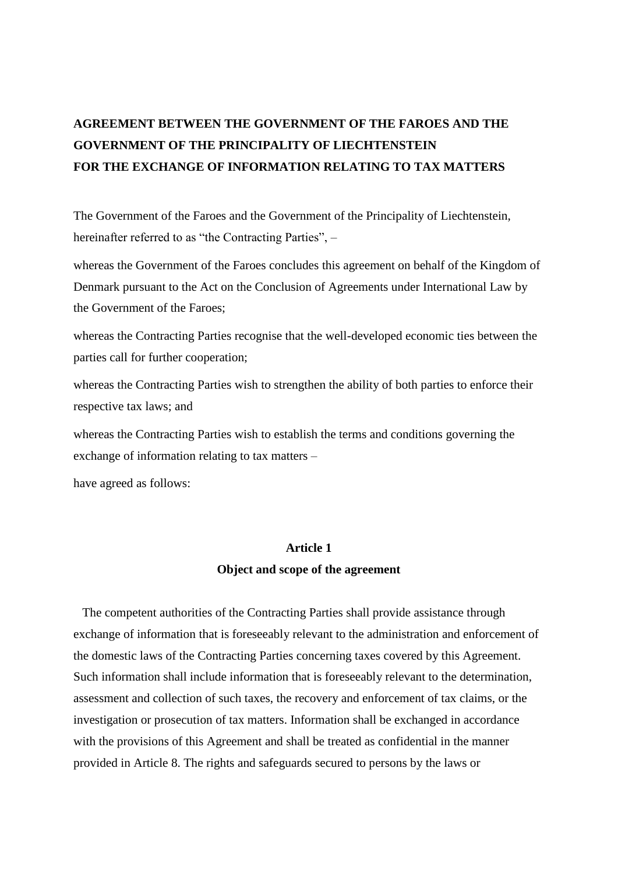# **AGREEMENT BETWEEN THE GOVERNMENT OF THE FAROES AND THE GOVERNMENT OF THE PRINCIPALITY OF LIECHTENSTEIN FOR THE EXCHANGE OF INFORMATION RELATING TO TAX MATTERS**

The Government of the Faroes and the Government of the Principality of Liechtenstein, hereinafter referred to as "the Contracting Parties",  $-$ 

whereas the Government of the Faroes concludes this agreement on behalf of the Kingdom of Denmark pursuant to the Act on the Conclusion of Agreements under International Law by the Government of the Faroes;

whereas the Contracting Parties recognise that the well-developed economic ties between the parties call for further cooperation;

whereas the Contracting Parties wish to strengthen the ability of both parties to enforce their respective tax laws; and

whereas the Contracting Parties wish to establish the terms and conditions governing the exchange of information relating to tax matters –

have agreed as follows:

### **Article 1 Object and scope of the agreement**

The competent authorities of the Contracting Parties shall provide assistance through exchange of information that is foreseeably relevant to the administration and enforcement of the domestic laws of the Contracting Parties concerning taxes covered by this Agreement. Such information shall include information that is foreseeably relevant to the determination, assessment and collection of such taxes, the recovery and enforcement of tax claims, or the investigation or prosecution of tax matters. Information shall be exchanged in accordance with the provisions of this Agreement and shall be treated as confidential in the manner provided in Article 8. The rights and safeguards secured to persons by the laws or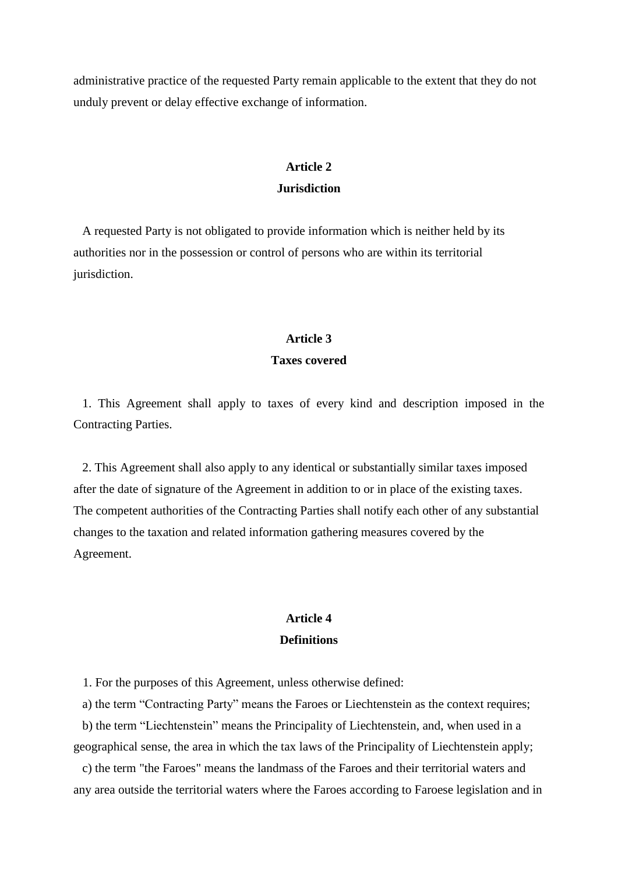administrative practice of the requested Party remain applicable to the extent that they do not unduly prevent or delay effective exchange of information.

### **Article 2 Jurisdiction**

A requested Party is not obligated to provide information which is neither held by its authorities nor in the possession or control of persons who are within its territorial jurisdiction.

# **Article 3**

### **Taxes covered**

1. This Agreement shall apply to taxes of every kind and description imposed in the Contracting Parties.

2. This Agreement shall also apply to any identical or substantially similar taxes imposed after the date of signature of the Agreement in addition to or in place of the existing taxes. The competent authorities of the Contracting Parties shall notify each other of any substantial changes to the taxation and related information gathering measures covered by the Agreement.

### **Article 4 Definitions**

1. For the purposes of this Agreement, unless otherwise defined:

a) the term "Contracting Party" means the Faroes or Liechtenstein as the context requires; b) the term "Liechtenstein" means the Principality of Liechtenstein, and, when used in a

geographical sense, the area in which the tax laws of the Principality of Liechtenstein apply;

c) the term "the Faroes" means the landmass of the Faroes and their territorial waters and any area outside the territorial waters where the Faroes according to Faroese legislation and in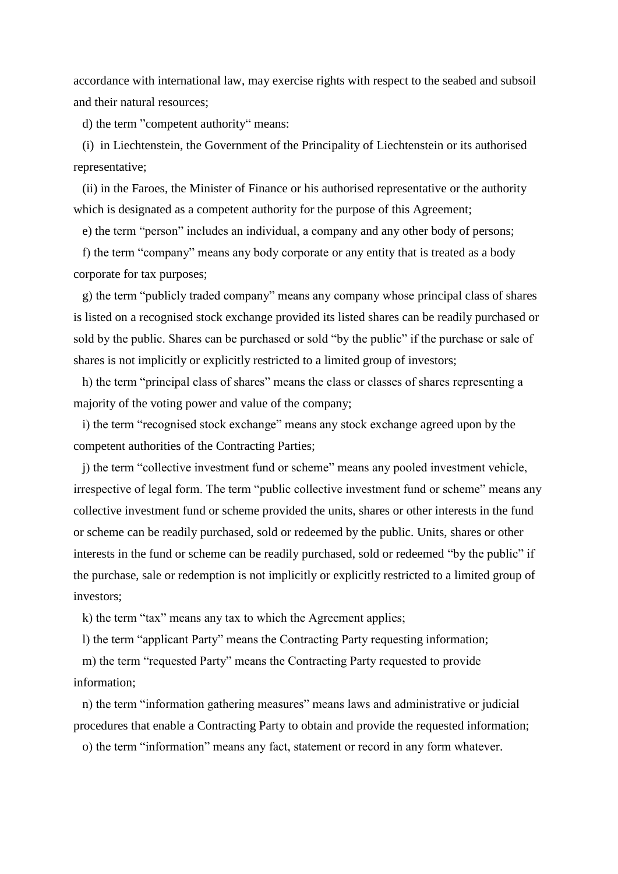accordance with international law, may exercise rights with respect to the seabed and subsoil and their natural resources;

d) the term "competent authority" means:

(i) in Liechtenstein, the Government of the Principality of Liechtenstein or its authorised representative;

(ii) in the Faroes, the Minister of Finance or his authorised representative or the authority which is designated as a competent authority for the purpose of this Agreement;

e) the term "person" includes an individual, a company and any other body of persons;

f) the term "company" means any body corporate or any entity that is treated as a body corporate for tax purposes;

g) the term "publicly traded company" means any company whose principal class of shares is listed on a recognised stock exchange provided its listed shares can be readily purchased or sold by the public. Shares can be purchased or sold "by the public" if the purchase or sale of shares is not implicitly or explicitly restricted to a limited group of investors;

h) the term "principal class of shares" means the class or classes of shares representing a majority of the voting power and value of the company;

i) the term "recognised stock exchange" means any stock exchange agreed upon by the competent authorities of the Contracting Parties;

j) the term "collective investment fund or scheme" means any pooled investment vehicle, irrespective of legal form. The term "public collective investment fund or scheme" means any collective investment fund or scheme provided the units, shares or other interests in the fund or scheme can be readily purchased, sold or redeemed by the public. Units, shares or other interests in the fund or scheme can be readily purchased, sold or redeemed "by the public" if the purchase, sale or redemption is not implicitly or explicitly restricted to a limited group of investors;

k) the term "tax" means any tax to which the Agreement applies;

l) the term "applicant Party" means the Contracting Party requesting information;

m) the term "requested Party" means the Contracting Party requested to provide information;

n) the term "information gathering measures" means laws and administrative or judicial procedures that enable a Contracting Party to obtain and provide the requested information;

o) the term "information" means any fact, statement or record in any form whatever.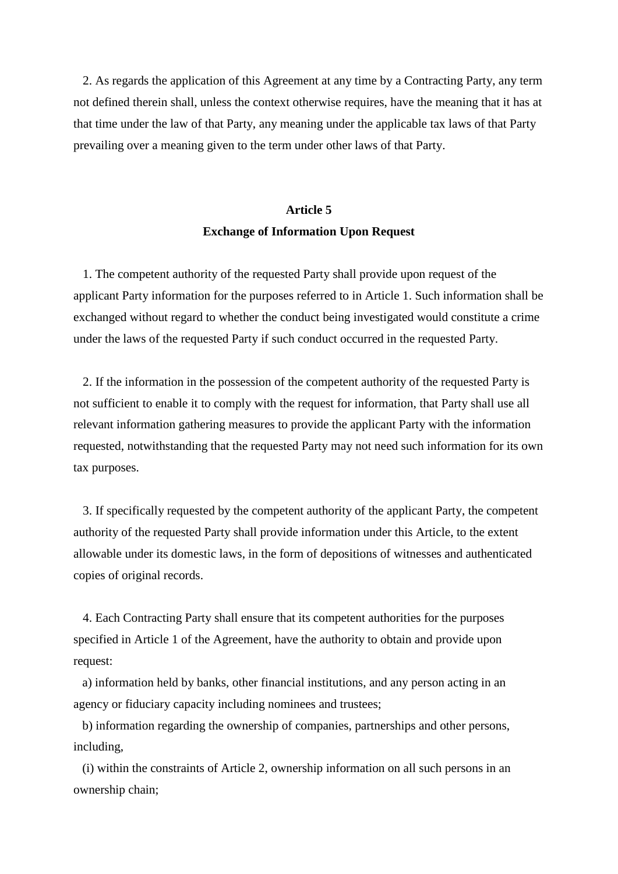2. As regards the application of this Agreement at any time by a Contracting Party, any term not defined therein shall, unless the context otherwise requires, have the meaning that it has at that time under the law of that Party, any meaning under the applicable tax laws of that Party prevailing over a meaning given to the term under other laws of that Party.

# **Article 5 Exchange of Information Upon Request**

1. The competent authority of the requested Party shall provide upon request of the applicant Party information for the purposes referred to in Article 1. Such information shall be exchanged without regard to whether the conduct being investigated would constitute a crime under the laws of the requested Party if such conduct occurred in the requested Party.

2. If the information in the possession of the competent authority of the requested Party is not sufficient to enable it to comply with the request for information, that Party shall use all relevant information gathering measures to provide the applicant Party with the information requested, notwithstanding that the requested Party may not need such information for its own tax purposes.

3. If specifically requested by the competent authority of the applicant Party, the competent authority of the requested Party shall provide information under this Article, to the extent allowable under its domestic laws, in the form of depositions of witnesses and authenticated copies of original records.

4. Each Contracting Party shall ensure that its competent authorities for the purposes specified in Article 1 of the Agreement, have the authority to obtain and provide upon request:

a) information held by banks, other financial institutions, and any person acting in an agency or fiduciary capacity including nominees and trustees;

b) information regarding the ownership of companies, partnerships and other persons, including,

(i) within the constraints of Article 2, ownership information on all such persons in an ownership chain;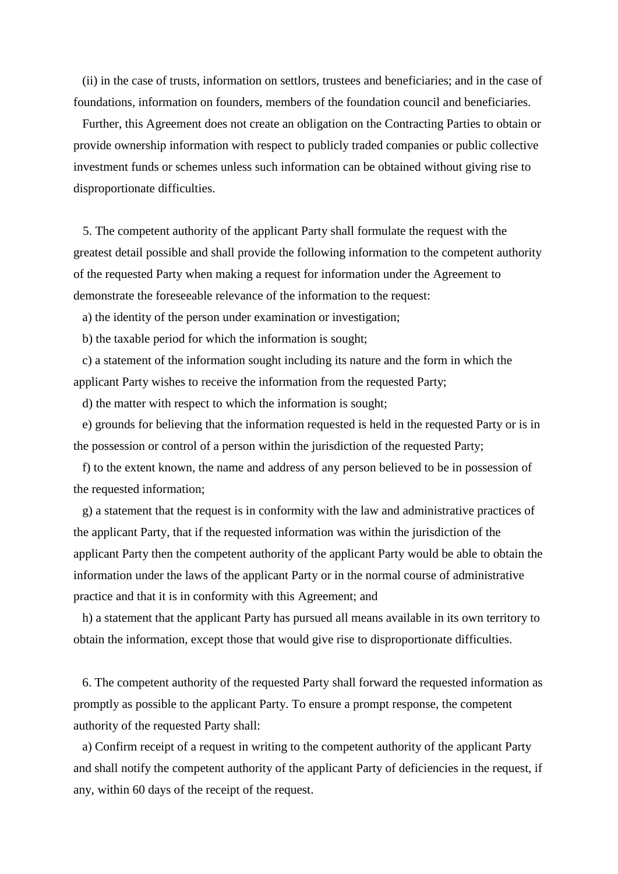(ii) in the case of trusts, information on settlors, trustees and beneficiaries; and in the case of foundations, information on founders, members of the foundation council and beneficiaries.

Further, this Agreement does not create an obligation on the Contracting Parties to obtain or provide ownership information with respect to publicly traded companies or public collective investment funds or schemes unless such information can be obtained without giving rise to disproportionate difficulties.

5. The competent authority of the applicant Party shall formulate the request with the greatest detail possible and shall provide the following information to the competent authority of the requested Party when making a request for information under the Agreement to demonstrate the foreseeable relevance of the information to the request:

a) the identity of the person under examination or investigation;

b) the taxable period for which the information is sought;

c) a statement of the information sought including its nature and the form in which the applicant Party wishes to receive the information from the requested Party;

d) the matter with respect to which the information is sought;

e) grounds for believing that the information requested is held in the requested Party or is in the possession or control of a person within the jurisdiction of the requested Party;

f) to the extent known, the name and address of any person believed to be in possession of the requested information;

g) a statement that the request is in conformity with the law and administrative practices of the applicant Party, that if the requested information was within the jurisdiction of the applicant Party then the competent authority of the applicant Party would be able to obtain the information under the laws of the applicant Party or in the normal course of administrative practice and that it is in conformity with this Agreement; and

h) a statement that the applicant Party has pursued all means available in its own territory to obtain the information, except those that would give rise to disproportionate difficulties.

6. The competent authority of the requested Party shall forward the requested information as promptly as possible to the applicant Party. To ensure a prompt response, the competent authority of the requested Party shall:

a) Confirm receipt of a request in writing to the competent authority of the applicant Party and shall notify the competent authority of the applicant Party of deficiencies in the request, if any, within 60 days of the receipt of the request.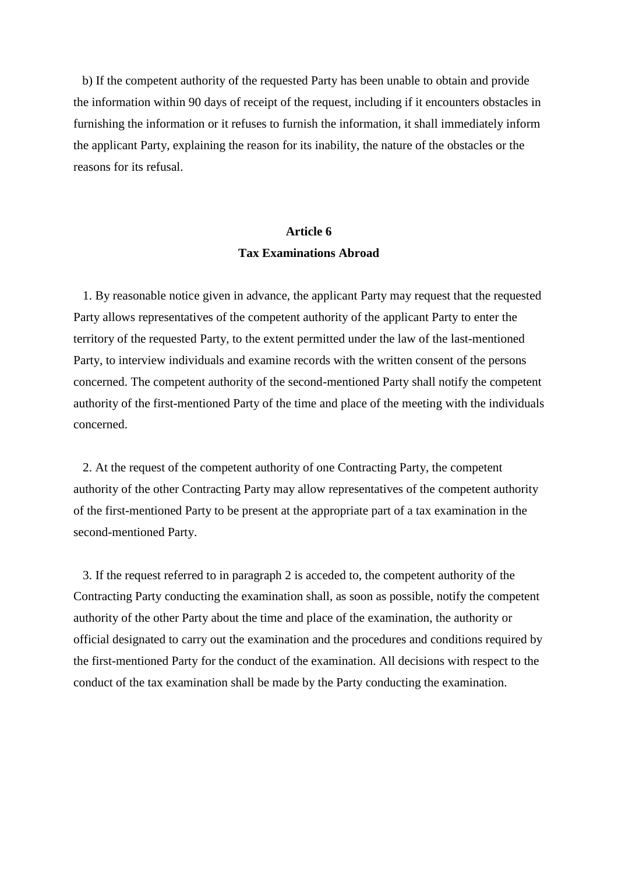b) If the competent authority of the requested Party has been unable to obtain and provide the information within 90 days of receipt of the request, including if it encounters obstacles in furnishing the information or it refuses to furnish the information, it shall immediately inform the applicant Party, explaining the reason for its inability, the nature of the obstacles or the reasons for its refusal.

### **Article 6 Tax Examinations Abroad**

1. By reasonable notice given in advance, the applicant Party may request that the requested Party allows representatives of the competent authority of the applicant Party to enter the territory of the requested Party, to the extent permitted under the law of the last-mentioned Party, to interview individuals and examine records with the written consent of the persons concerned. The competent authority of the second-mentioned Party shall notify the competent authority of the first-mentioned Party of the time and place of the meeting with the individuals concerned.

2. At the request of the competent authority of one Contracting Party, the competent authority of the other Contracting Party may allow representatives of the competent authority of the first-mentioned Party to be present at the appropriate part of a tax examination in the second-mentioned Party.

3. If the request referred to in paragraph 2 is acceded to, the competent authority of the Contracting Party conducting the examination shall, as soon as possible, notify the competent authority of the other Party about the time and place of the examination, the authority or official designated to carry out the examination and the procedures and conditions required by the first-mentioned Party for the conduct of the examination. All decisions with respect to the conduct of the tax examination shall be made by the Party conducting the examination.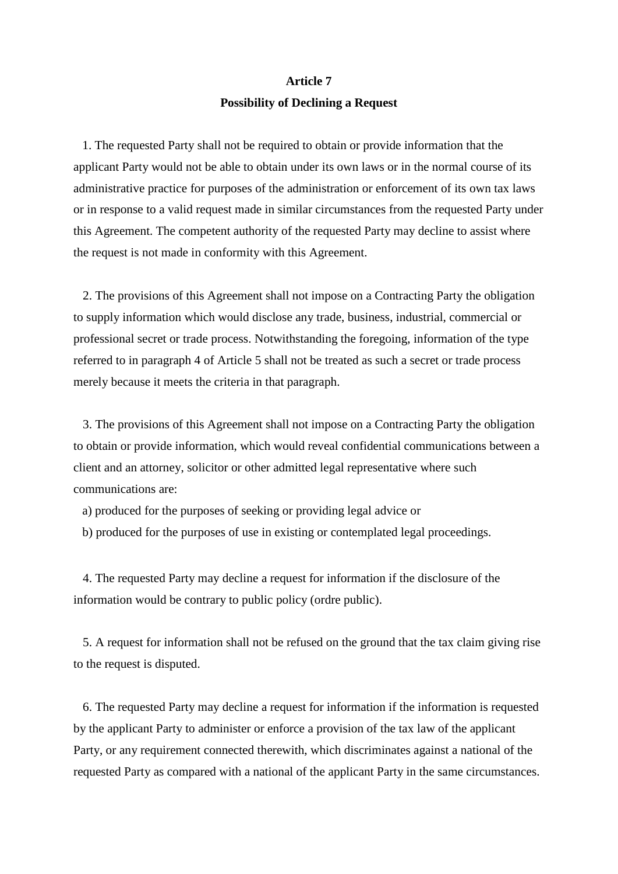# **Article 7 Possibility of Declining a Request**

1. The requested Party shall not be required to obtain or provide information that the applicant Party would not be able to obtain under its own laws or in the normal course of its administrative practice for purposes of the administration or enforcement of its own tax laws or in response to a valid request made in similar circumstances from the requested Party under this Agreement. The competent authority of the requested Party may decline to assist where the request is not made in conformity with this Agreement.

2. The provisions of this Agreement shall not impose on a Contracting Party the obligation to supply information which would disclose any trade, business, industrial, commercial or professional secret or trade process. Notwithstanding the foregoing, information of the type referred to in paragraph 4 of Article 5 shall not be treated as such a secret or trade process merely because it meets the criteria in that paragraph.

3. The provisions of this Agreement shall not impose on a Contracting Party the obligation to obtain or provide information, which would reveal confidential communications between a client and an attorney, solicitor or other admitted legal representative where such communications are:

- a) produced for the purposes of seeking or providing legal advice or
- b) produced for the purposes of use in existing or contemplated legal proceedings.

4. The requested Party may decline a request for information if the disclosure of the information would be contrary to public policy (ordre public).

5. A request for information shall not be refused on the ground that the tax claim giving rise to the request is disputed.

6. The requested Party may decline a request for information if the information is requested by the applicant Party to administer or enforce a provision of the tax law of the applicant Party, or any requirement connected therewith, which discriminates against a national of the requested Party as compared with a national of the applicant Party in the same circumstances.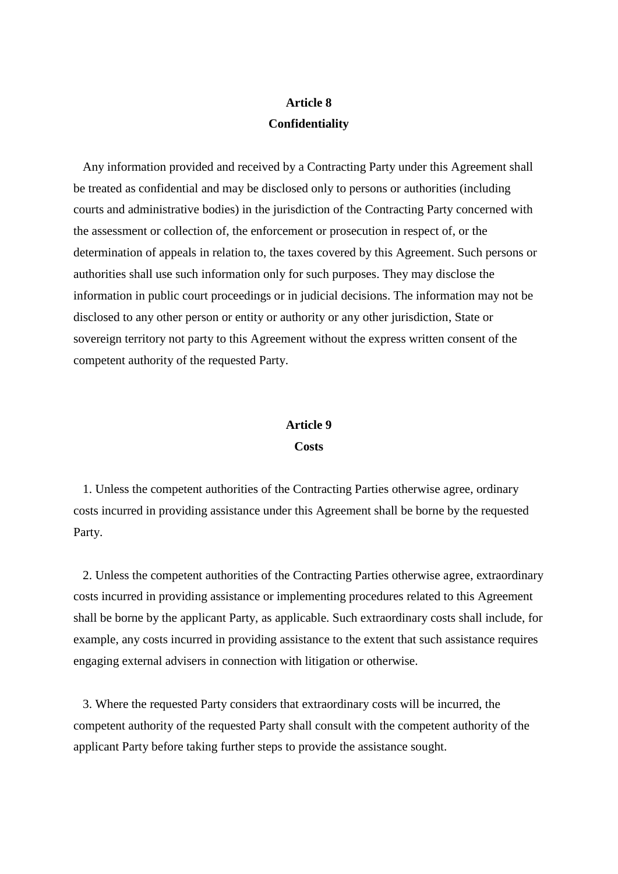# **Article 8 Confidentiality**

Any information provided and received by a Contracting Party under this Agreement shall be treated as confidential and may be disclosed only to persons or authorities (including courts and administrative bodies) in the jurisdiction of the Contracting Party concerned with the assessment or collection of, the enforcement or prosecution in respect of, or the determination of appeals in relation to, the taxes covered by this Agreement. Such persons or authorities shall use such information only for such purposes. They may disclose the information in public court proceedings or in judicial decisions. The information may not be disclosed to any other person or entity or authority or any other jurisdiction, State or sovereign territory not party to this Agreement without the express written consent of the competent authority of the requested Party.

#### **Article 9**

#### **Costs**

1. Unless the competent authorities of the Contracting Parties otherwise agree, ordinary costs incurred in providing assistance under this Agreement shall be borne by the requested Party.

2. Unless the competent authorities of the Contracting Parties otherwise agree, extraordinary costs incurred in providing assistance or implementing procedures related to this Agreement shall be borne by the applicant Party, as applicable. Such extraordinary costs shall include, for example, any costs incurred in providing assistance to the extent that such assistance requires engaging external advisers in connection with litigation or otherwise.

3. Where the requested Party considers that extraordinary costs will be incurred, the competent authority of the requested Party shall consult with the competent authority of the applicant Party before taking further steps to provide the assistance sought.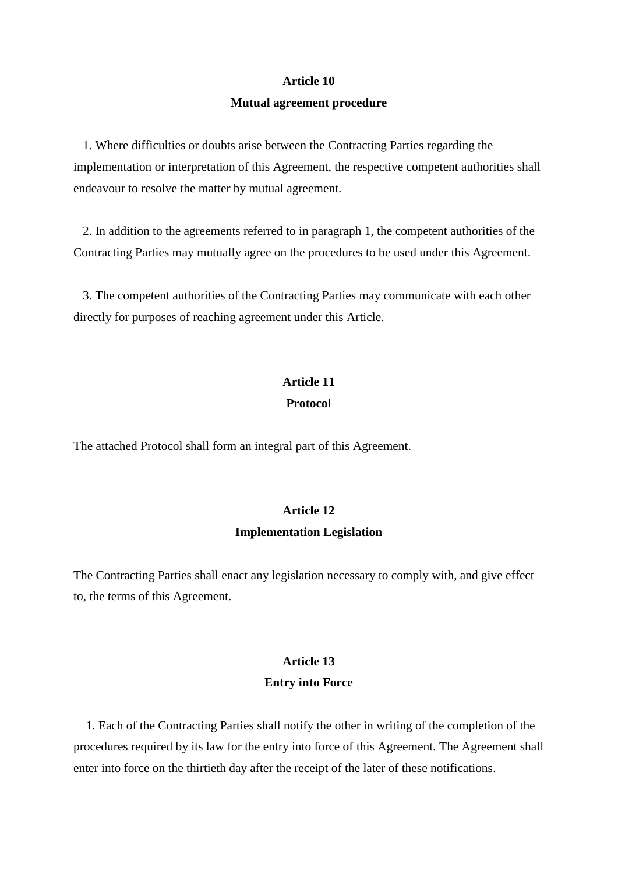#### **Article 10**

#### **Mutual agreement procedure**

1. Where difficulties or doubts arise between the Contracting Parties regarding the implementation or interpretation of this Agreement, the respective competent authorities shall endeavour to resolve the matter by mutual agreement.

2. In addition to the agreements referred to in paragraph 1, the competent authorities of the Contracting Parties may mutually agree on the procedures to be used under this Agreement.

3. The competent authorities of the Contracting Parties may communicate with each other directly for purposes of reaching agreement under this Article.

# **Article 11 Protocol**

The attached Protocol shall form an integral part of this Agreement.

# **Article 12 Implementation Legislation**

The Contracting Parties shall enact any legislation necessary to comply with, and give effect to, the terms of this Agreement.

#### **Article 13**

#### **Entry into Force**

1. Each of the Contracting Parties shall notify the other in writing of the completion of the procedures required by its law for the entry into force of this Agreement. The Agreement shall enter into force on the thirtieth day after the receipt of the later of these notifications.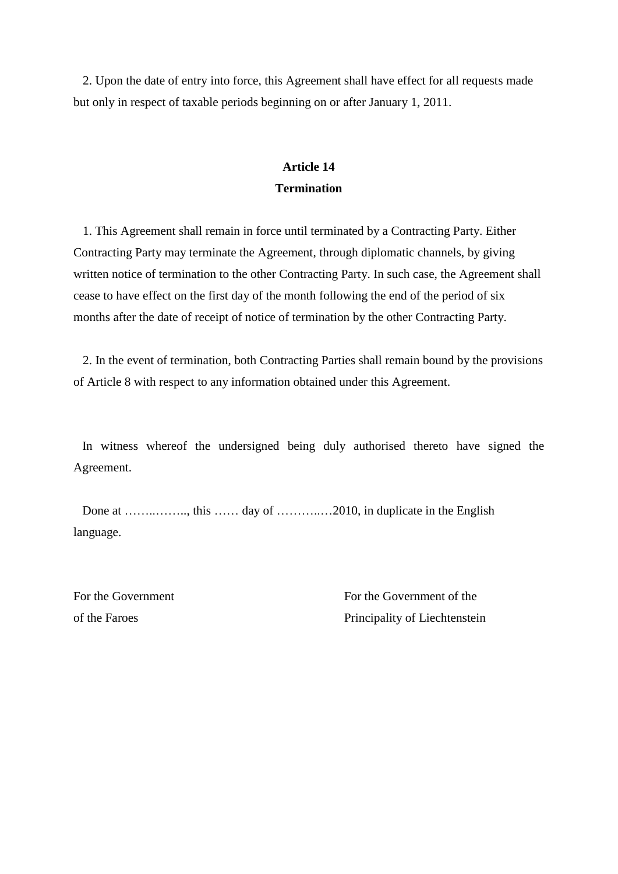2. Upon the date of entry into force, this Agreement shall have effect for all requests made but only in respect of taxable periods beginning on or after January 1, 2011.

### **Article 14 Termination**

1. This Agreement shall remain in force until terminated by a Contracting Party. Either Contracting Party may terminate the Agreement, through diplomatic channels, by giving written notice of termination to the other Contracting Party. In such case, the Agreement shall cease to have effect on the first day of the month following the end of the period of six months after the date of receipt of notice of termination by the other Contracting Party.

2. In the event of termination, both Contracting Parties shall remain bound by the provisions of Article 8 with respect to any information obtained under this Agreement.

In witness whereof the undersigned being duly authorised thereto have signed the Agreement.

Done at …….........., this …… day of ……...........2010, in duplicate in the English language.

For the Government For the Government of the of the Faroes Principality of Liechtenstein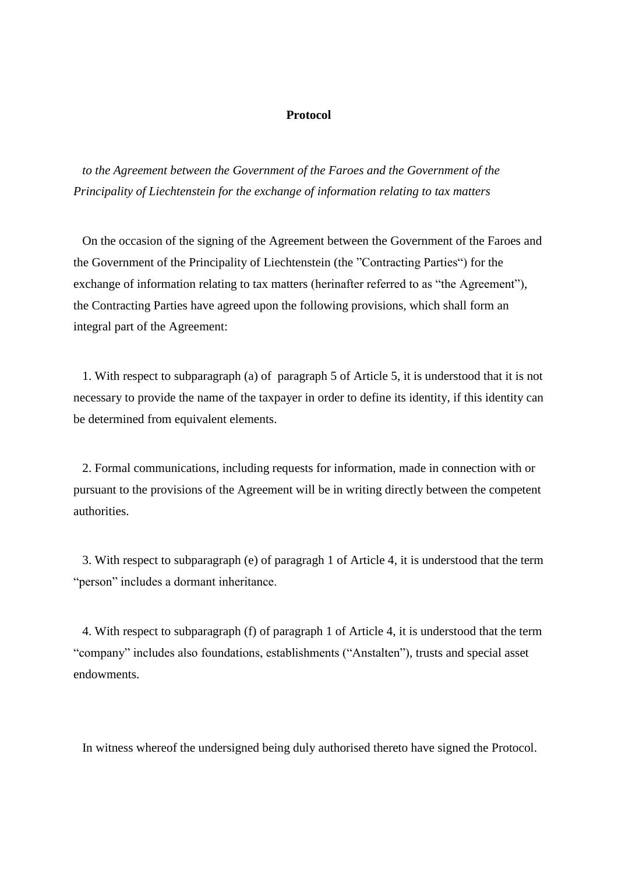#### **Protocol**

*to the Agreement between the Government of the Faroes and the Government of the Principality of Liechtenstein for the exchange of information relating to tax matters*

On the occasion of the signing of the Agreement between the Government of the Faroes and the Government of the Principality of Liechtenstein (the "Contracting Parties") for the exchange of information relating to tax matters (herinafter referred to as "the Agreement"), the Contracting Parties have agreed upon the following provisions, which shall form an integral part of the Agreement:

1. With respect to subparagraph (a) of paragraph 5 of Article 5, it is understood that it is not necessary to provide the name of the taxpayer in order to define its identity, if this identity can be determined from equivalent elements.

2. Formal communications, including requests for information, made in connection with or pursuant to the provisions of the Agreement will be in writing directly between the competent authorities.

3. With respect to subparagraph (e) of paragragh 1 of Article 4, it is understood that the term "person" includes a dormant inheritance.

4. With respect to subparagraph (f) of paragraph 1 of Article 4, it is understood that the term "company" includes also foundations, establishments ("Anstalten"), trusts and special asset endowments.

In witness whereof the undersigned being duly authorised thereto have signed the Protocol.